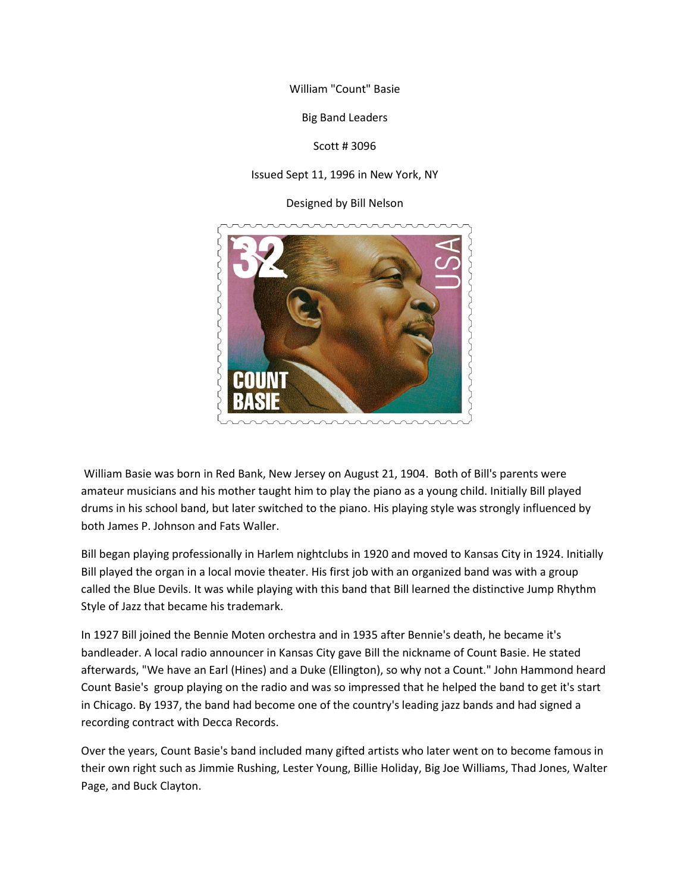William "Count" Basie

Big Band Leaders

Scott # 3096

## Issued Sept 11, 1996 in New York, NY

Designed by Bill Nelson



William Basie was born in Red Bank, New Jersey on August 21, 1904. Both of Bill's parents were amateur musicians and his mother taught him to play the piano as a young child. Initially Bill played drums in his school band, but later switched to the piano. His playing style was strongly influenced by both James P. Johnson and Fats Waller.

Bill began playing professionally in Harlem nightclubs in 1920 and moved to Kansas City in 1924. Initially Bill played the organ in a local movie theater. His first job with an organized band was with a group called the Blue Devils. It was while playing with this band that Bill learned the distinctive Jump Rhythm Style of Jazz that became his trademark.

In 1927 Bill joined the Bennie Moten orchestra and in 1935 after Bennie's death, he became it's bandleader. A local radio announcer in Kansas City gave Bill the nickname of Count Basie. He stated afterwards, "We have an Earl (Hines) and a Duke (Ellington), so why not a Count." John Hammond heard Count Basie's group playing on the radio and was so impressed that he helped the band to get it's start in Chicago. By 1937, the band had become one of the country's leading jazz bands and had signed a recording contract with Decca Records.

Over the years, Count Basie's band included many gifted artists who later went on to become famous in their own right such as Jimmie Rushing, Lester Young, Billie Holiday, Big Joe Williams, Thad Jones, Walter Page, and Buck Clayton.